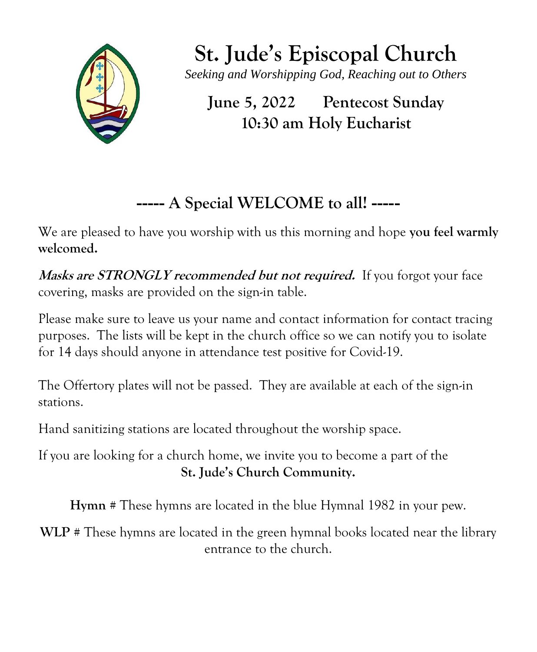

**St. Jude's Episcopal Church** *Seeking and Worshipping God, Reaching out to Others*

**June 5, 2022 Pentecost Sunday 10:30 am Holy Eucharist**

# **----- A Special WELCOME to all! -----**

We are pleased to have you worship with us this morning and hope **you feel warmly welcomed.** 

**Masks are STRONGLY recommended but not required.** If you forgot your face covering, masks are provided on the sign-in table.

Please make sure to leave us your name and contact information for contact tracing purposes. The lists will be kept in the church office so we can notify you to isolate for 14 days should anyone in attendance test positive for Covid-19.

The Offertory plates will not be passed. They are available at each of the sign-in stations.

Hand sanitizing stations are located throughout the worship space.

If you are looking for a church home, we invite you to become a part of the **St. Jude's Church Community.**

**Hymn #** These hymns are located in the blue Hymnal 1982 in your pew.

**WLP #** These hymns are located in the green hymnal books located near the library entrance to the church.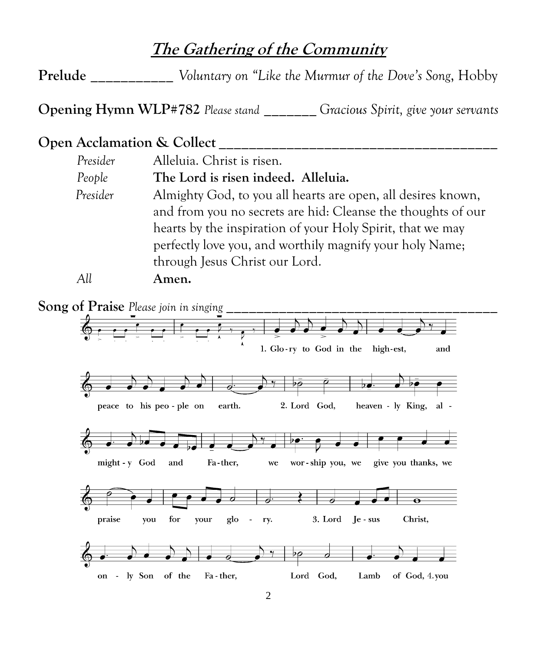## **The Gathering of the Community**

**Prelude \_\_\_\_\_\_\_\_\_\_\_** *Voluntary on "Like the Murmur of the Dove's Song*, Hobby

**Opening Hymn WLP#782** *Please stand* **\_\_\_\_\_\_\_** *Gracious Spirit, give your servants*

### **Open Acclamation & Collect \_\_\_\_\_\_\_\_\_\_\_\_\_\_\_\_\_\_\_\_\_\_\_\_\_\_\_\_\_\_\_\_\_\_\_\_\_**

| Presider | Alleluia. Christ is risen.                                                                                                                               |
|----------|----------------------------------------------------------------------------------------------------------------------------------------------------------|
| People   | The Lord is risen indeed. Alleluia.                                                                                                                      |
| Presider | Almighty God, to you all hearts are open, all desires known,<br>and from you no secrets are hid: Cleanse the thoughts of our                             |
|          | hearts by the inspiration of your Holy Spirit, that we may<br>perfectly love you, and worthily magnify your holy Name;<br>through Jesus Christ our Lord. |
| All      | Amen.                                                                                                                                                    |

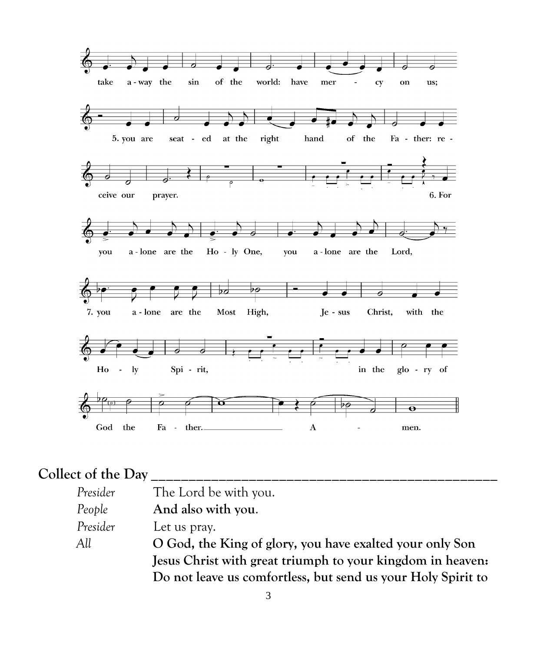

## **Collect of the Day \_\_\_\_\_\_\_\_\_\_\_\_\_\_\_\_\_\_\_\_\_\_\_\_\_\_\_\_\_\_\_\_\_\_\_\_\_\_\_\_\_\_\_\_\_\_**

| Presider | The Lord be with you.                                        |
|----------|--------------------------------------------------------------|
| People   | And also with you.                                           |
| Presider | Let us pray.                                                 |
| All      | O God, the King of glory, you have exalted your only Son     |
|          | Jesus Christ with great triumph to your kingdom in heaven:   |
|          | Do not leave us comfortless, but send us your Holy Spirit to |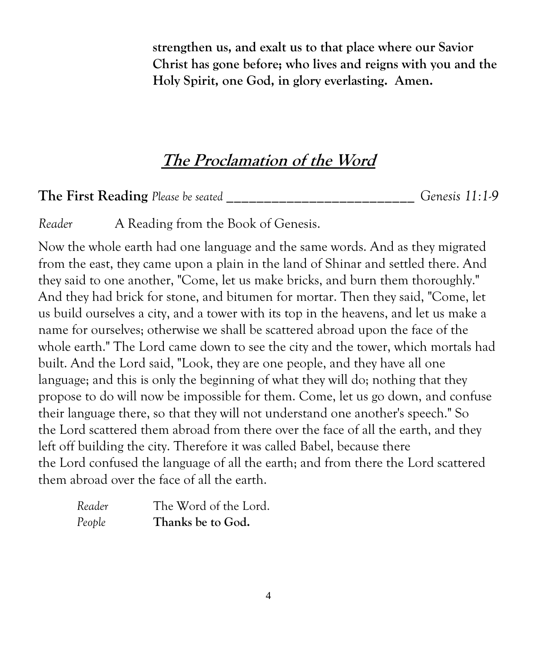**strengthen us, and exalt us to that place where our Savior Christ has gone before; who lives and reigns with you and the Holy Spirit, one God, in glory everlasting. Amen.** 

## **The Proclamation of the Word**

**The First Reading** *Please be seated* **\_\_\_\_\_\_\_\_\_\_\_\_\_\_\_\_\_\_\_\_\_\_\_\_\_** *Genesis 11:1-9*

*Reader* A Reading from the Book of Genesis.

Now the whole earth had one language and the same words. And as they migrated from the east, they came upon a plain in the land of Shinar and settled there. And they said to one another, "Come, let us make bricks, and burn them thoroughly." And they had brick for stone, and bitumen for mortar. Then they said, "Come, let us build ourselves a city, and a tower with its top in the heavens, and let us make a name for ourselves; otherwise we shall be scattered abroad upon the face of the whole earth." The Lord came down to see the city and the tower, which mortals had built. And the Lord said, "Look, they are one people, and they have all one language; and this is only the beginning of what they will do; nothing that they propose to do will now be impossible for them. Come, let us go down, and confuse their language there, so that they will not understand one another's speech." So the Lord scattered them abroad from there over the face of all the earth, and they left off building the city. Therefore it was called Babel, because there the Lord confused the language of all the earth; and from there the Lord scattered them abroad over the face of all the earth.

| Reader | The Word of the Lord. |
|--------|-----------------------|
| People | Thanks be to God.     |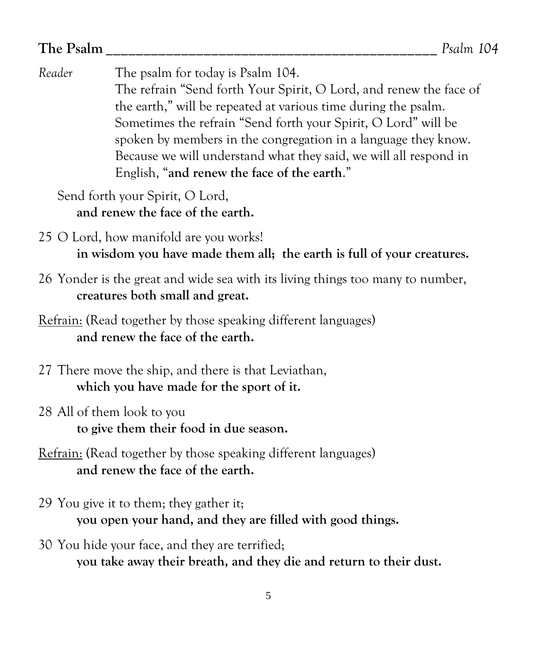## **The Psalm**  $P_{salm}$  104

*Reader* The psalm for today is Psalm 104. The refrain "Send forth Your Spirit, O Lord, and renew the face of the earth," will be repeated at various time during the psalm. Sometimes the refrain "Send forth your Spirit, O Lord" will be spoken by members in the congregation in a language they know. Because we will understand what they said, we will all respond in English, "**and renew the face of the earth**."

Send forth your Spirit, O Lord, **and renew the face of the earth.**

25 O Lord, how manifold are you works! **in wisdom you have made them all; the earth is full of your creatures.**

26 Yonder is the great and wide sea with its living things too many to number, **creatures both small and great.**

Refrain: (Read together by those speaking different languages) **and renew the face of the earth.**

- 27 There move the ship, and there is that Leviathan, **which you have made for the sport of it.**
- 28 All of them look to you **to give them their food in due season.**
- Refrain: (Read together by those speaking different languages) **and renew the face of the earth.**
- 29 You give it to them; they gather it; **you open your hand, and they are filled with good things.**
- 30 You hide your face, and they are terrified; **you take away their breath, and they die and return to their dust.**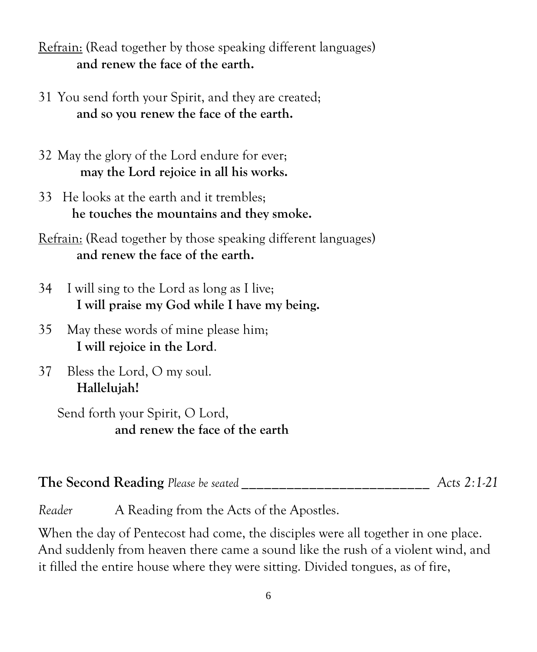Refrain: (Read together by those speaking different languages) **and renew the face of the earth.**

- 31 You send forth your Spirit, and they are created; **and so you renew the face of the earth.**
- 32 May the glory of the Lord endure for ever; **may the Lord rejoice in all his works.**
- 33 He looks at the earth and it trembles; **he touches the mountains and they smoke.**

Refrain: (Read together by those speaking different languages) **and renew the face of the earth.**

- 34 I will sing to the Lord as long as I live; **I will praise my God while I have my being.**
- 35 May these words of mine please him; **I will rejoice in the Lord**.
- 37 Bless the Lord, O my soul. **Hallelujah!**

Send forth your Spirit, O Lord, **and renew the face of the earth**

## **The Second Reading** *Please be seated* **\_\_\_\_\_\_\_\_\_\_\_\_\_\_\_\_\_\_\_\_\_\_\_\_\_** *Acts 2:1-21*

*Reader* A Reading from the Acts of the Apostles.

When the day of Pentecost had come, the disciples were all together in one place. And suddenly from heaven there came a sound like the rush of a violent wind, and it filled the entire house where they were sitting. Divided tongues, as of fire,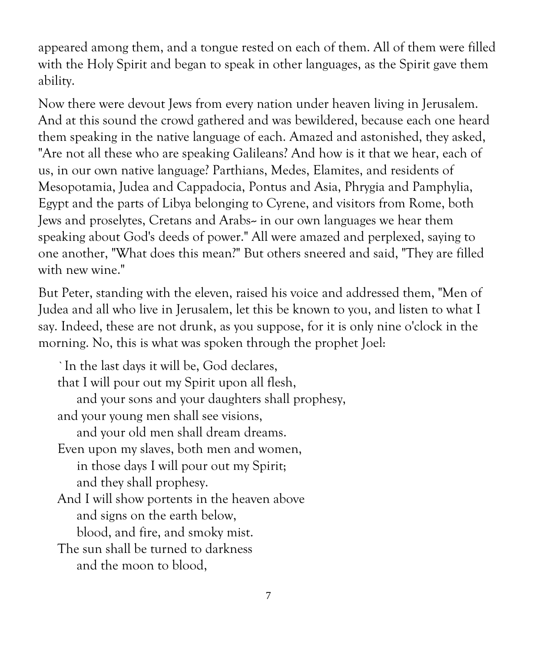appeared among them, and a tongue rested on each of them. All of them were filled with the Holy Spirit and began to speak in other languages, as the Spirit gave them ability.

Now there were devout Jews from every nation under heaven living in Jerusalem. And at this sound the crowd gathered and was bewildered, because each one heard them speaking in the native language of each. Amazed and astonished, they asked, "Are not all these who are speaking Galileans? And how is it that we hear, each of us, in our own native language? Parthians, Medes, Elamites, and residents of Mesopotamia, Judea and Cappadocia, Pontus and Asia, Phrygia and Pamphylia, Egypt and the parts of Libya belonging to Cyrene, and visitors from Rome, both Jews and proselytes, Cretans and Arabs-- in our own languages we hear them speaking about God's deeds of power." All were amazed and perplexed, saying to one another, "What does this mean?" But others sneered and said, "They are filled with new wine."

But Peter, standing with the eleven, raised his voice and addressed them, "Men of Judea and all who live in Jerusalem, let this be known to you, and listen to what I say. Indeed, these are not drunk, as you suppose, for it is only nine o'clock in the morning. No, this is what was spoken through the prophet Joel:

`In the last days it will be, God declares, that I will pour out my Spirit upon all flesh, and your sons and your daughters shall prophesy, and your young men shall see visions, and your old men shall dream dreams. Even upon my slaves, both men and women, in those days I will pour out my Spirit; and they shall prophesy. And I will show portents in the heaven above and signs on the earth below, blood, and fire, and smoky mist. The sun shall be turned to darkness and the moon to blood,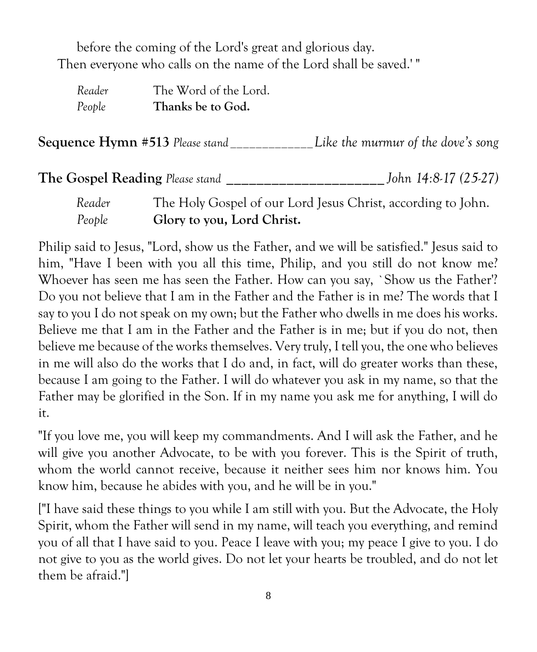before the coming of the Lord's great and glorious day. Then everyone who calls on the name of the Lord shall be saved.' "

| Reader | The Word of the Lord. |
|--------|-----------------------|
| People | Thanks be to God.     |

**Sequence Hymn #513** *Please stand \_\_\_\_\_\_\_\_\_\_\_\_\_Like the murmur of the dove's song*

**The Gospel Reading** *Please stand* **\_\_\_\_\_\_\_\_\_\_\_\_\_\_\_\_\_\_\_\_\_** *John 14:8-17 (25-27)*

*Reader* The Holy Gospel of our Lord Jesus Christ, according to John. *People* **Glory to you, Lord Christ.**

Philip said to Jesus, "Lord, show us the Father, and we will be satisfied." Jesus said to him, "Have I been with you all this time, Philip, and you still do not know me? Whoever has seen me has seen the Father. How can you say, `Show us the Father'? Do you not believe that I am in the Father and the Father is in me? The words that I say to you I do not speak on my own; but the Father who dwells in me does his works. Believe me that I am in the Father and the Father is in me; but if you do not, then believe me because of the works themselves. Very truly, I tell you, the one who believes in me will also do the works that I do and, in fact, will do greater works than these, because I am going to the Father. I will do whatever you ask in my name, so that the Father may be glorified in the Son. If in my name you ask me for anything, I will do it.

"If you love me, you will keep my commandments. And I will ask the Father, and he will give you another Advocate, to be with you forever. This is the Spirit of truth, whom the world cannot receive, because it neither sees him nor knows him. You know him, because he abides with you, and he will be in you."

["I have said these things to you while I am still with you. But the Advocate, the Holy Spirit, whom the Father will send in my name, will teach you everything, and remind you of all that I have said to you. Peace I leave with you; my peace I give to you. I do not give to you as the world gives. Do not let your hearts be troubled, and do not let them be afraid."]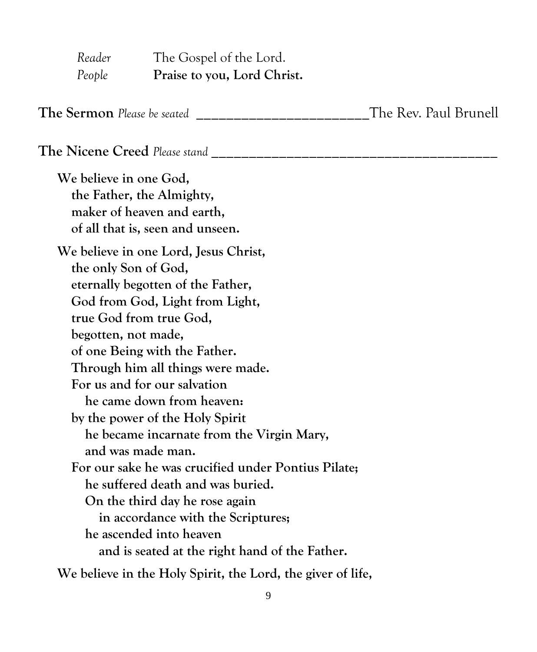*Reader* The Gospel of the Lord. *People* **Praise to you, Lord Christ.**

**The Sermon** *Please be seated* **\_\_\_\_\_\_\_\_\_\_\_\_\_\_\_\_\_\_\_\_\_\_\_**The Rev. Paul Brunell

**The Nicene Creed** *Please stand* **\_\_\_\_\_\_\_\_\_\_\_\_\_\_\_\_\_\_\_\_\_\_\_\_\_\_\_\_\_\_\_\_\_\_\_\_\_\_**

**We believe in one God, the Father, the Almighty, maker of heaven and earth, of all that is, seen and unseen.**

**We believe in one Lord, Jesus Christ, the only Son of God, eternally begotten of the Father, God from God, Light from Light, true God from true God, begotten, not made, of one Being with the Father. Through him all things were made. For us and for our salvation he came down from heaven: by the power of the Holy Spirit he became incarnate from the Virgin Mary, and was made man. For our sake he was crucified under Pontius Pilate; he suffered death and was buried. On the third day he rose again in accordance with the Scriptures; he ascended into heaven and is seated at the right hand of the Father.**

**We believe in the Holy Spirit, the Lord, the giver of life,**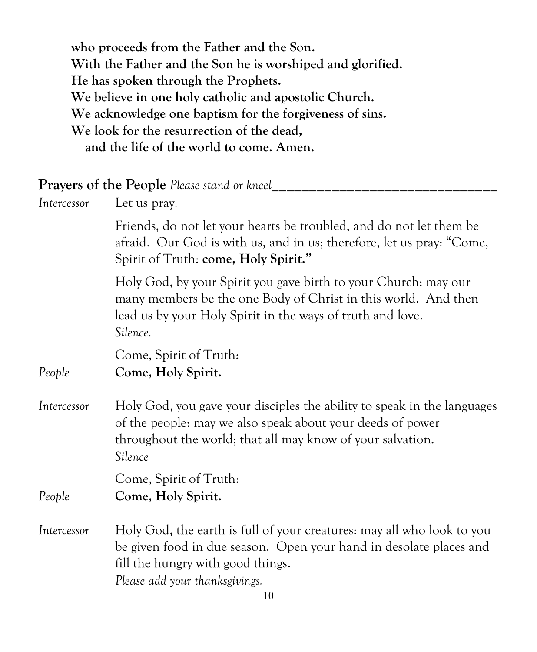**who proceeds from the Father and the Son. With the Father and the Son he is worshiped and glorified. He has spoken through the Prophets. We believe in one holy catholic and apostolic Church. We acknowledge one baptism for the forgiveness of sins. We look for the resurrection of the dead, and the life of the world to come. Amen.**

#### **Prayers of the People** *Please stand or kneel***\_\_\_\_\_\_\_\_\_\_\_\_\_\_\_\_\_\_\_\_\_\_\_\_\_\_\_\_\_\_**

| Intercessor | Let us pray.                                                                                                                                                                                                        |  |
|-------------|---------------------------------------------------------------------------------------------------------------------------------------------------------------------------------------------------------------------|--|
|             | Friends, do not let your hearts be troubled, and do not let them be<br>afraid. Our God is with us, and in us; therefore, let us pray: "Come,<br>Spirit of Truth: come, Holy Spirit."                                |  |
|             | Holy God, by your Spirit you gave birth to your Church: may our<br>many members be the one Body of Christ in this world. And then<br>lead us by your Holy Spirit in the ways of truth and love.<br>Silence.         |  |
|             | Come, Spirit of Truth:                                                                                                                                                                                              |  |
| People      | Come, Holy Spirit.                                                                                                                                                                                                  |  |
| Intercessor | Holy God, you gave your disciples the ability to speak in the languages<br>of the people: may we also speak about your deeds of power<br>throughout the world; that all may know of your salvation.<br>Silence      |  |
| People      | Come, Spirit of Truth:<br>Come, Holy Spirit.                                                                                                                                                                        |  |
| Intercessor | Holy God, the earth is full of your creatures: may all who look to you<br>be given food in due season. Open your hand in desolate places and<br>fill the hungry with good things.<br>Please add your thanksgivings. |  |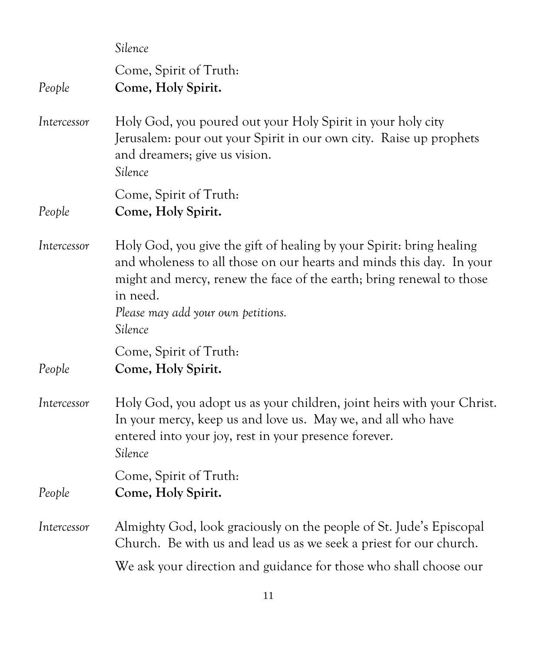|             | Silence                                                                                                                                                                                                                                                                           |
|-------------|-----------------------------------------------------------------------------------------------------------------------------------------------------------------------------------------------------------------------------------------------------------------------------------|
|             | Come, Spirit of Truth:                                                                                                                                                                                                                                                            |
| People      | Come, Holy Spirit.                                                                                                                                                                                                                                                                |
| Intercessor | Holy God, you poured out your Holy Spirit in your holy city<br>Jerusalem: pour out your Spirit in our own city. Raise up prophets<br>and dreamers; give us vision.<br>Silence                                                                                                     |
| People      | Come, Spirit of Truth:<br>Come, Holy Spirit.                                                                                                                                                                                                                                      |
| Intercessor | Holy God, you give the gift of healing by your Spirit: bring healing<br>and wholeness to all those on our hearts and minds this day. In your<br>might and mercy, renew the face of the earth; bring renewal to those<br>in need.<br>Please may add your own petitions.<br>Silence |
|             | Come, Spirit of Truth:                                                                                                                                                                                                                                                            |
| People      | Come, Holy Spirit.                                                                                                                                                                                                                                                                |
| Intercessor | Holy God, you adopt us as your children, joint heirs with your Christ.<br>In your mercy, keep us and love us. May we, and all who have<br>entered into your joy, rest in your presence forever.<br>Silence                                                                        |
| People      | Come, Spirit of Truth:<br>Come, Holy Spirit.                                                                                                                                                                                                                                      |
|             |                                                                                                                                                                                                                                                                                   |
| Intercessor | Almighty God, look graciously on the people of St. Jude's Episcopal<br>Church. Be with us and lead us as we seek a priest for our church.                                                                                                                                         |
|             | We ask your direction and guidance for those who shall choose our                                                                                                                                                                                                                 |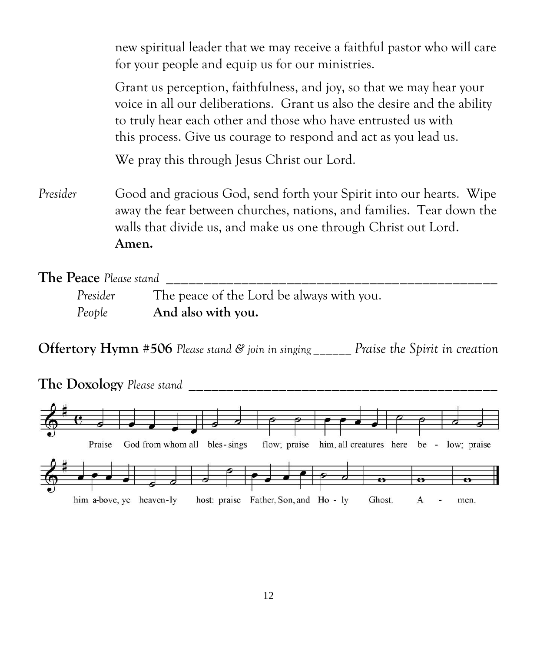new spiritual leader that we may receive a faithful pastor who will care for your people and equip us for our ministries.

Grant us perception, faithfulness, and joy, so that we may hear your voice in all our deliberations. Grant us also the desire and the ability to truly hear each other and those who have entrusted us with this process. Give us courage to respond and act as you lead us.

We pray this through Jesus Christ our Lord.

*Presider* Good and gracious God, send forth your Spirit into our hearts. Wipe away the fear between churches, nations, and families. Tear down the walls that divide us, and make us one through Christ out Lord. **Amen.**

**The Peace** *Please stand* **\_\_\_\_\_\_\_\_\_\_\_\_\_\_\_\_\_\_\_\_\_\_\_\_\_\_\_\_\_\_\_\_\_\_\_\_\_\_\_\_\_\_\_\_**

*Presider* The peace of the Lord be always with you. *People* **And also with you.** 

**Offertory Hymn #506** *Please stand & join in singing \_\_\_\_\_\_ Praise the Spirit in creation*

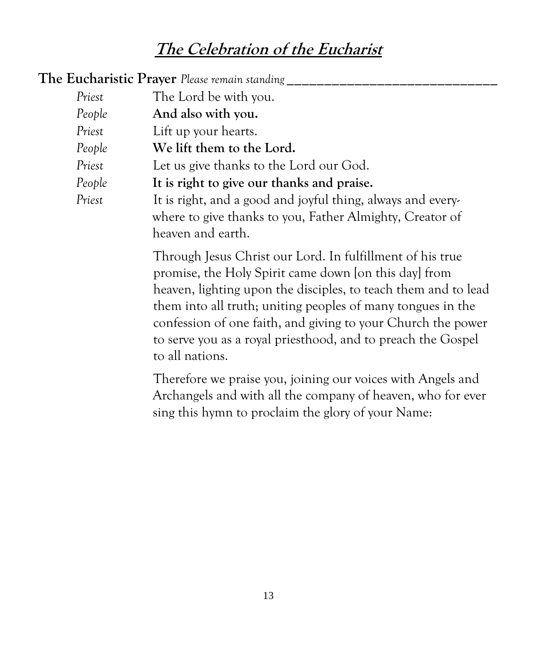## **The Celebration of the Eucharist**

**The Eucharistic Prayer** *Please remain standing* **\_\_\_\_\_\_\_\_\_\_\_\_\_\_\_\_\_\_\_\_\_\_\_\_\_\_\_\_**

| Priest | The Lord be with you.                                                                                                                        |  |
|--------|----------------------------------------------------------------------------------------------------------------------------------------------|--|
| People | And also with you.                                                                                                                           |  |
| Priest | Lift up your hearts.                                                                                                                         |  |
| People | We lift them to the Lord.                                                                                                                    |  |
| Priest | Let us give thanks to the Lord our God.                                                                                                      |  |
| People | It is right to give our thanks and praise.                                                                                                   |  |
| Priest | It is right, and a good and joyful thing, always and every-<br>where to give thanks to you, Father Almighty, Creator of<br>heaven and earth. |  |

Through Jesus Christ our Lord. In fulfillment of his true promise, the Holy Spirit came down [on this day] from heaven, lighting upon the disciples, to teach them and to lead them into all truth; uniting peoples of many tongues in the confession of one faith, and giving to your Church the power to serve you as a royal priesthood, and to preach the Gospel to all nations.

Therefore we praise you, joining our voices with Angels and Archangels and with all the company of heaven, who for ever sing this hymn to proclaim the glory of your Name: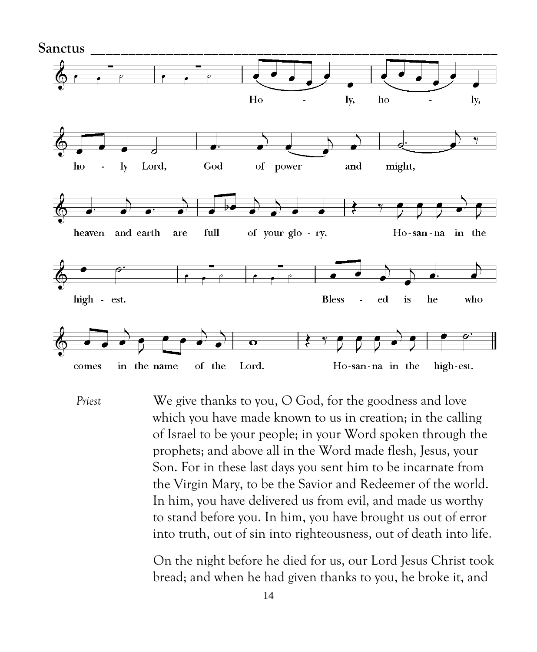

*Priest* We give thanks to you, O God, for the goodness and love which you have made known to us in creation; in the calling of Israel to be your people; in your Word spoken through the prophets; and above all in the Word made flesh, Jesus, your Son. For in these last days you sent him to be incarnate from the Virgin Mary, to be the Savior and Redeemer of the world. In him, you have delivered us from evil, and made us worthy to stand before you. In him, you have brought us out of error into truth, out of sin into righteousness, out of death into life.

> On the night before he died for us, our Lord Jesus Christ took bread; and when he had given thanks to you, he broke it, and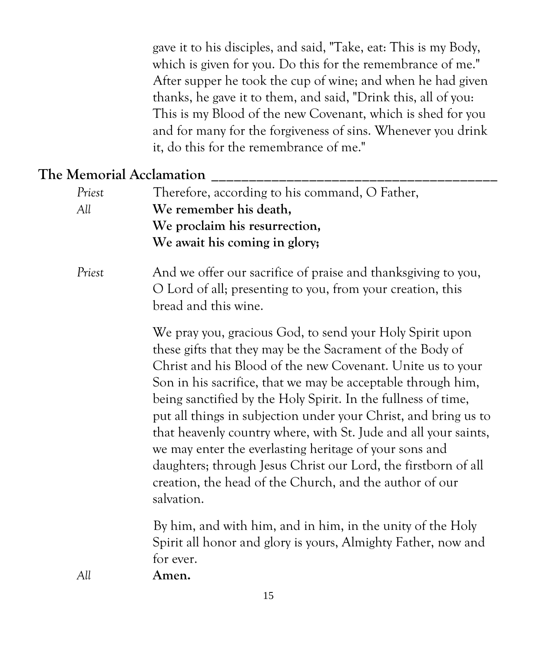gave it to his disciples, and said, "Take, eat: This is my Body, which is given for you. Do this for the remembrance of me." After supper he took the cup of wine; and when he had given thanks, he gave it to them, and said, "Drink this, all of you: This is my Blood of the new Covenant, which is shed for you and for many for the forgiveness of sins. Whenever you drink it, do this for the remembrance of me."

#### **The Memorial Acclamation \_\_\_\_\_\_\_\_\_\_\_\_\_\_\_\_\_\_\_\_\_\_\_\_\_\_\_\_\_\_\_\_\_\_\_\_\_\_**

| Priest<br>All | Therefore, according to his command, O Father,<br>We remember his death,<br>We proclaim his resurrection,<br>We await his coming in glory;                                                                                                                                                                                                                                                                                                                                                                                                                                                                                                                      |
|---------------|-----------------------------------------------------------------------------------------------------------------------------------------------------------------------------------------------------------------------------------------------------------------------------------------------------------------------------------------------------------------------------------------------------------------------------------------------------------------------------------------------------------------------------------------------------------------------------------------------------------------------------------------------------------------|
| Priest        | And we offer our sacrifice of praise and thanksgiving to you,<br>O Lord of all; presenting to you, from your creation, this<br>bread and this wine.                                                                                                                                                                                                                                                                                                                                                                                                                                                                                                             |
|               | We pray you, gracious God, to send your Holy Spirit upon<br>these gifts that they may be the Sacrament of the Body of<br>Christ and his Blood of the new Covenant. Unite us to your<br>Son in his sacrifice, that we may be acceptable through him,<br>being sanctified by the Holy Spirit. In the fullness of time,<br>put all things in subjection under your Christ, and bring us to<br>that heavenly country where, with St. Jude and all your saints,<br>we may enter the everlasting heritage of your sons and<br>daughters; through Jesus Christ our Lord, the firstborn of all<br>creation, the head of the Church, and the author of our<br>salvation. |
|               | By him, and with him, and in him, in the unity of the Holy<br>Spirit all honor and glory is yours, Almighty Father, now and<br>for ever.                                                                                                                                                                                                                                                                                                                                                                                                                                                                                                                        |

*All* **Amen.**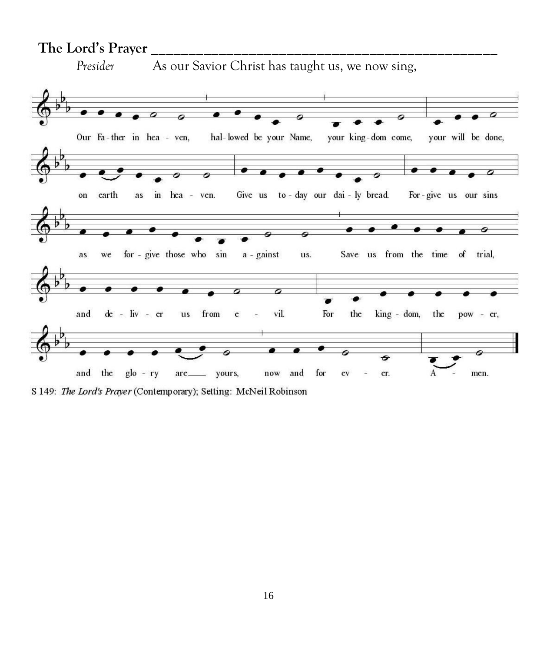#### **The Lord's Prayer \_\_\_\_\_\_\_\_\_\_\_\_\_\_\_\_\_\_\_\_\_\_\_\_\_\_\_\_\_\_\_\_\_\_\_\_\_\_\_\_\_\_\_\_\_\_**

*Presider* As our Savior Christ has taught us, we now sing,



S 149: The Lord's Prayer (Contemporary); Setting: McNeil Robinson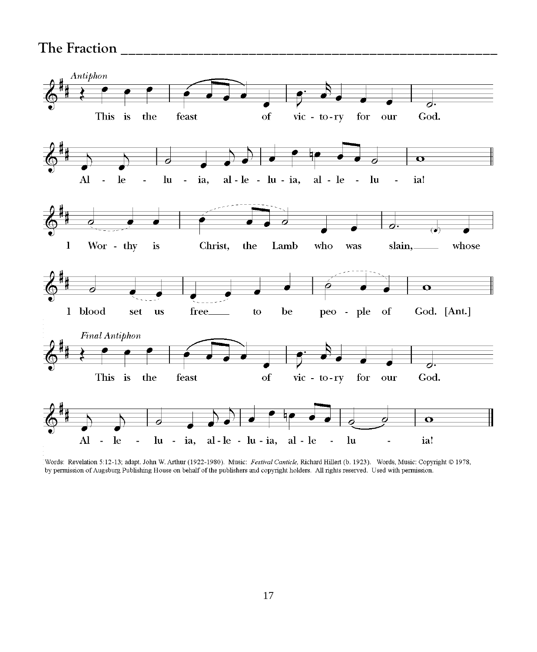#### The Fraction



Words: Revelation 5:12-13; adapt. John W. Arthur (1922-1980). Music: Festival Canticle, Richard Hillert (b. 1923). Words, Music: Copyright @ 1978, by permission of Augsburg Publishing House on behalf of the publishers and copyright holders. All rights reserved. Used with permission.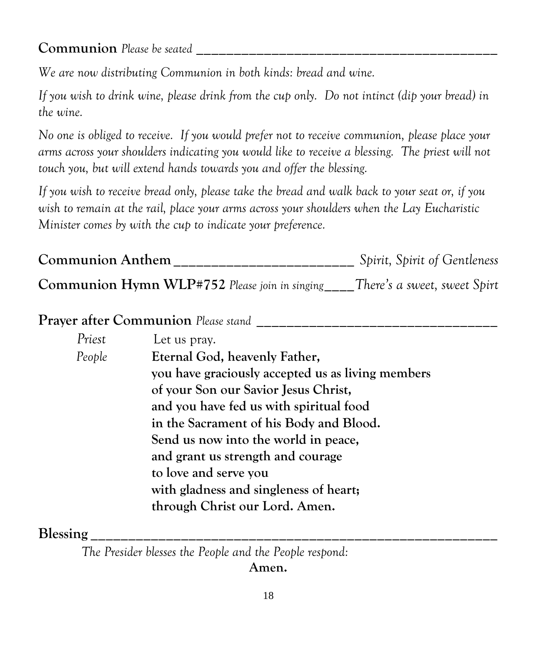### **Communion** *Please be seated* **\_\_\_\_\_\_\_\_\_\_\_\_\_\_\_\_\_\_\_\_\_\_\_\_\_\_\_\_\_\_\_\_\_\_\_\_\_\_\_\_**

*We are now distributing Communion in both kinds: bread and wine.* 

*If you wish to drink wine, please drink from the cup only. Do not intinct (dip your bread) in the wine.*

*No one is obliged to receive. If you would prefer not to receive communion, please place your arms across your shoulders indicating you would like to receive a blessing. The priest will not touch you, but will extend hands towards you and offer the blessing.*

*If you wish to receive bread only, please take the bread and walk back to your seat or, if you wish to remain at the rail, place your arms across your shoulders when the Lay Eucharistic Minister comes by with the cup to indicate your preference.*

| <b>Communion Anthem</b>                                                           | Spirit, Spirit of Gentleness |
|-----------------------------------------------------------------------------------|------------------------------|
| <b>Communion Hymn WLP#752</b> Please join in singing There's a sweet, sweet Spirt |                              |

**Prayer after Communion** *Please stand* **\_\_\_\_\_\_\_\_\_\_\_\_\_\_\_\_\_\_\_\_\_\_\_\_\_\_\_\_\_\_\_\_**

| Priest | Let us pray.                                      |
|--------|---------------------------------------------------|
| People | Eternal God, heavenly Father,                     |
|        | you have graciously accepted us as living members |
|        | of your Son our Savior Jesus Christ,              |
|        | and you have fed us with spiritual food           |
|        | in the Sacrament of his Body and Blood.           |
|        | Send us now into the world in peace,              |
|        | and grant us strength and courage                 |
|        | to love and serve you                             |
|        | with gladness and singleness of heart;            |
|        | through Christ our Lord. Amen.                    |

### **Blessing \_\_\_\_\_\_\_\_\_\_\_\_\_\_\_\_\_\_\_\_\_\_\_\_\_\_\_\_\_\_\_\_\_\_\_\_\_\_\_\_\_\_\_\_\_\_\_\_\_\_\_\_\_\_**

*The Presider blesses the People and the People respond:*

**Amen.**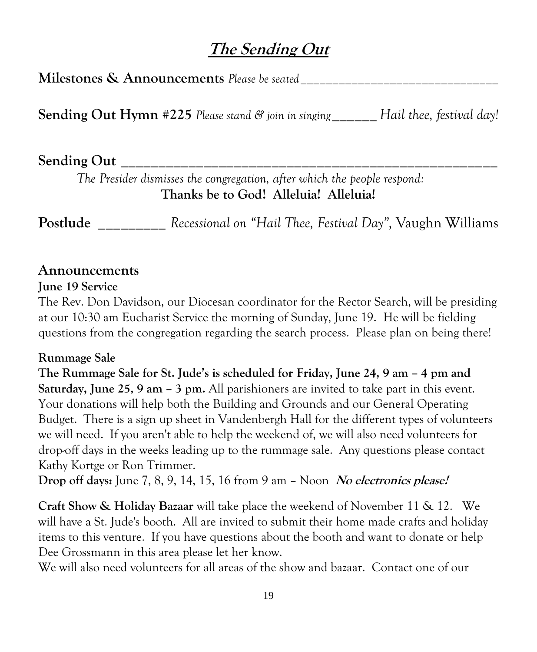## **The Sending Out**

**Milestones & Announcements** *Please be seated\_\_\_\_\_\_\_\_\_\_\_\_\_\_\_\_\_\_\_\_\_\_\_\_\_\_\_\_\_\_\_*

**Sending Out Hymn #225** *Please stand & join in singing***\_\_\_\_\_\_** *Hail thee, festival day!*

Sending Out

*The Presider dismisses the congregation, after which the people respond:* **Thanks be to God! Alleluia! Alleluia!**

**Postlude \_\_\_\_\_\_\_\_\_** *Recessional on "Hail Thee, Festival Day",* Vaughn Williams

#### **Announcements**

#### **June 19 Service**

The Rev. Don Davidson, our Diocesan coordinator for the Rector Search, will be presiding at our 10:30 am Eucharist Service the morning of Sunday, June 19. He will be fielding questions from the congregation regarding the search process. Please plan on being there!

#### **Rummage Sale**

**The Rummage Sale for St. Jude's is scheduled for Friday, June 24, 9 am – 4 pm and Saturday, June 25, 9 am – 3 pm.** All parishioners are invited to take part in this event. Your donations will help both the Building and Grounds and our General Operating Budget. There is a sign up sheet in Vandenbergh Hall for the different types of volunteers we will need. If you aren't able to help the weekend of, we will also need volunteers for drop-off days in the weeks leading up to the rummage sale. Any questions please contact Kathy Kortge or Ron Trimmer.

**Drop off days:** June 7, 8, 9, 14, 15, 16 from 9 am – Noon **No electronics please!**

**Craft Show & Holiday Bazaar** will take place the weekend of November 11 & 12. We will have a St. Jude's booth. All are invited to submit their home made crafts and holiday items to this venture. If you have questions about the booth and want to donate or help Dee Grossmann in this area please let her know.

We will also need volunteers for all areas of the show and bazaar. Contact one of our